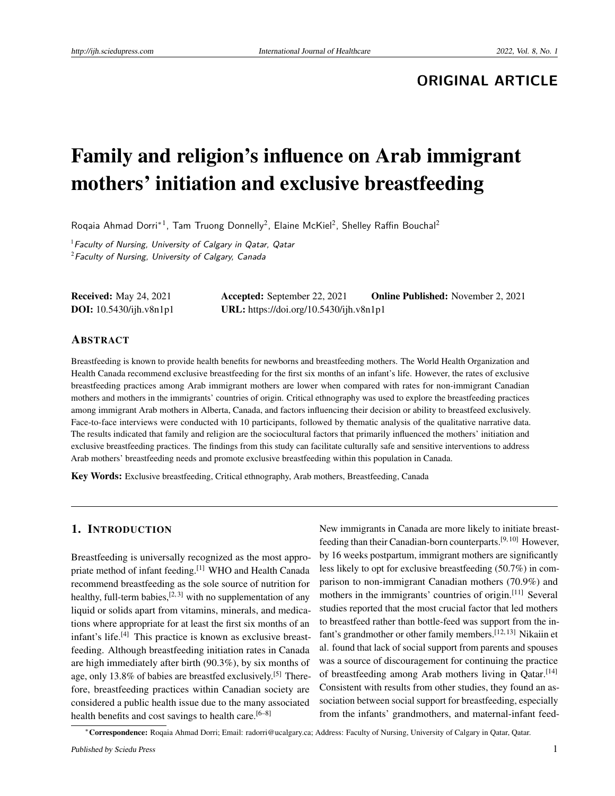## **ORIGINAL ARTICLE**

# Family and religion's influence on Arab immigrant mothers' initiation and exclusive breastfeeding

Roqaia Ahmad Dorri<sup>\*1</sup>, Tam Truong Donnelly<sup>2</sup>, Elaine McKiel<sup>2</sup>, Shelley Raffin Bouchal<sup>2</sup>

 $1$  Faculty of Nursing, University of Calgary in Qatar, Qatar  $2$ Faculty of Nursing, University of Calgary, Canada

| <b>Received:</b> May 24, 2021  | <b>Accepted:</b> September 22, 2021     | <b>Online Published:</b> November 2, 2021 |
|--------------------------------|-----------------------------------------|-------------------------------------------|
| <b>DOI:</b> 10.5430/ijh.v8n1p1 | URL: https://doi.org/10.5430/ijh.v8n1p1 |                                           |

#### ABSTRACT

Breastfeeding is known to provide health benefits for newborns and breastfeeding mothers. The World Health Organization and Health Canada recommend exclusive breastfeeding for the first six months of an infant's life. However, the rates of exclusive breastfeeding practices among Arab immigrant mothers are lower when compared with rates for non-immigrant Canadian mothers and mothers in the immigrants' countries of origin. Critical ethnography was used to explore the breastfeeding practices among immigrant Arab mothers in Alberta, Canada, and factors influencing their decision or ability to breastfeed exclusively. Face-to-face interviews were conducted with 10 participants, followed by thematic analysis of the qualitative narrative data. The results indicated that family and religion are the sociocultural factors that primarily influenced the mothers' initiation and exclusive breastfeeding practices. The findings from this study can facilitate culturally safe and sensitive interventions to address Arab mothers' breastfeeding needs and promote exclusive breastfeeding within this population in Canada.

Key Words: Exclusive breastfeeding, Critical ethnography, Arab mothers, Breastfeeding, Canada

#### 1. INTRODUCTION

Breastfeeding is universally recognized as the most appro-priate method of infant feeding.<sup>[\[1\]](#page-7-0)</sup> WHO and Health Canada recommend breastfeeding as the sole source of nutrition for healthy, full-term babies, $[2, 3]$  $[2, 3]$  $[2, 3]$  with no supplementation of any liquid or solids apart from vitamins, minerals, and medications where appropriate for at least the first six months of an infant's life.[\[4\]](#page-7-3) This practice is known as exclusive breastfeeding. Although breastfeeding initiation rates in Canada are high immediately after birth (90.3%), by six months of age, only 13.8% of babies are breastfed exclusively.[\[5\]](#page-7-4) Therefore, breastfeeding practices within Canadian society are considered a public health issue due to the many associated health benefits and cost savings to health care.<sup>[\[6–](#page-7-5)[8\]](#page-7-6)</sup>

New immigrants in Canada are more likely to initiate breastfeeding than their Canadian-born counterparts.[\[9,](#page-7-7) [10\]](#page-7-8) However, by 16 weeks postpartum, immigrant mothers are significantly less likely to opt for exclusive breastfeeding (50.7%) in comparison to non-immigrant Canadian mothers (70.9%) and mothers in the immigrants' countries of origin.<sup>[\[11\]](#page-7-9)</sup> Several studies reported that the most crucial factor that led mothers to breastfeed rather than bottle-feed was support from the in-fant's grandmother or other family members.<sup>[\[12,](#page-7-10) [13\]](#page-8-0)</sup> Nikaiin et al. found that lack of social support from parents and spouses was a source of discouragement for continuing the practice of breastfeeding among Arab mothers living in Qatar.<sup>[\[14\]](#page-8-1)</sup> Consistent with results from other studies, they found an association between social support for breastfeeding, especially from the infants' grandmothers, and maternal-infant feed-

<sup>∗</sup>Correspondence: Roqaia Ahmad Dorri; Email: radorri@ucalgary.ca; Address: Faculty of Nursing, University of Calgary in Qatar, Qatar.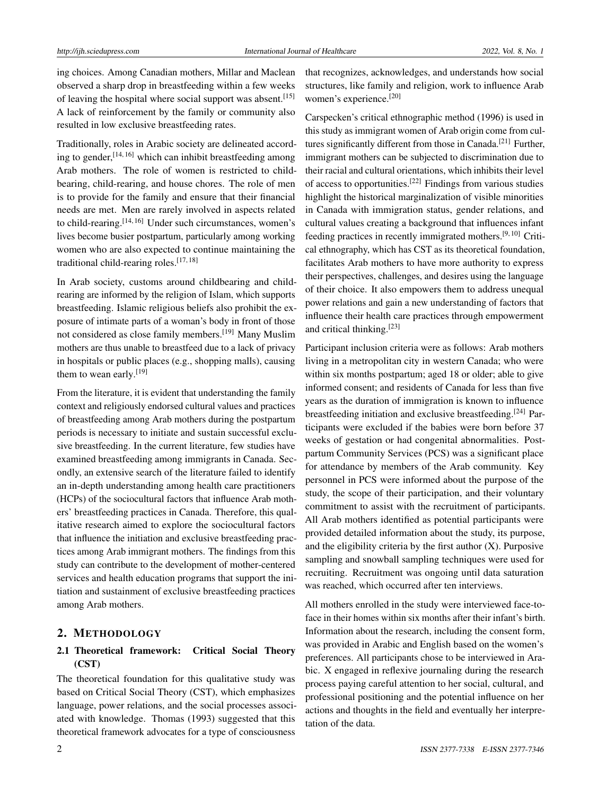ing choices. Among Canadian mothers, Millar and Maclean observed a sharp drop in breastfeeding within a few weeks of leaving the hospital where social support was absent.<sup>[\[15\]](#page-8-2)</sup> A lack of reinforcement by the family or community also resulted in low exclusive breastfeeding rates.

Traditionally, roles in Arabic society are delineated according to gender,  $[14, 16]$  $[14, 16]$  $[14, 16]$  which can inhibit breastfeeding among Arab mothers. The role of women is restricted to childbearing, child-rearing, and house chores. The role of men is to provide for the family and ensure that their financial needs are met. Men are rarely involved in aspects related to child-rearing.<sup>[\[14,](#page-8-1) [16\]](#page-8-3)</sup> Under such circumstances, women's lives become busier postpartum, particularly among working women who are also expected to continue maintaining the traditional child-rearing roles.[\[17,](#page-8-4) [18\]](#page-8-5)

In Arab society, customs around childbearing and childrearing are informed by the religion of Islam, which supports breastfeeding. Islamic religious beliefs also prohibit the exposure of intimate parts of a woman's body in front of those not considered as close family members.[\[19\]](#page-8-6) Many Muslim mothers are thus unable to breastfeed due to a lack of privacy in hospitals or public places (e.g., shopping malls), causing them to wean early.<sup>[\[19\]](#page-8-6)</sup>

From the literature, it is evident that understanding the family context and religiously endorsed cultural values and practices of breastfeeding among Arab mothers during the postpartum periods is necessary to initiate and sustain successful exclusive breastfeeding. In the current literature, few studies have examined breastfeeding among immigrants in Canada. Secondly, an extensive search of the literature failed to identify an in-depth understanding among health care practitioners (HCPs) of the sociocultural factors that influence Arab mothers' breastfeeding practices in Canada. Therefore, this qualitative research aimed to explore the sociocultural factors that influence the initiation and exclusive breastfeeding practices among Arab immigrant mothers. The findings from this study can contribute to the development of mother-centered services and health education programs that support the initiation and sustainment of exclusive breastfeeding practices among Arab mothers.

#### 2. METHODOLOGY

## 2.1 Theoretical framework: Critical Social Theory (CST)

The theoretical foundation for this qualitative study was based on Critical Social Theory (CST), which emphasizes language, power relations, and the social processes associated with knowledge. Thomas (1993) suggested that this theoretical framework advocates for a type of consciousness that recognizes, acknowledges, and understands how social structures, like family and religion, work to influence Arab women's experience.[\[20\]](#page-8-7)

Carspecken's critical ethnographic method (1996) is used in this study as immigrant women of Arab origin come from cul-tures significantly different from those in Canada.<sup>[\[21\]](#page-8-8)</sup> Further, immigrant mothers can be subjected to discrimination due to their racial and cultural orientations, which inhibits their level of access to opportunities.[\[22\]](#page-8-9) Findings from various studies highlight the historical marginalization of visible minorities in Canada with immigration status, gender relations, and cultural values creating a background that influences infant feeding practices in recently immigrated mothers.[\[9,](#page-7-7) [10\]](#page-7-8) Critical ethnography, which has CST as its theoretical foundation, facilitates Arab mothers to have more authority to express their perspectives, challenges, and desires using the language of their choice. It also empowers them to address unequal power relations and gain a new understanding of factors that influence their health care practices through empowerment and critical thinking.[\[23\]](#page-8-10)

Participant inclusion criteria were as follows: Arab mothers living in a metropolitan city in western Canada; who were within six months postpartum; aged 18 or older; able to give informed consent; and residents of Canada for less than five years as the duration of immigration is known to influence breastfeeding initiation and exclusive breastfeeding.<sup>[\[24\]](#page-8-11)</sup> Participants were excluded if the babies were born before 37 weeks of gestation or had congenital abnormalities. Postpartum Community Services (PCS) was a significant place for attendance by members of the Arab community. Key personnel in PCS were informed about the purpose of the study, the scope of their participation, and their voluntary commitment to assist with the recruitment of participants. All Arab mothers identified as potential participants were provided detailed information about the study, its purpose, and the eligibility criteria by the first author  $(X)$ . Purposive sampling and snowball sampling techniques were used for recruiting. Recruitment was ongoing until data saturation was reached, which occurred after ten interviews.

All mothers enrolled in the study were interviewed face-toface in their homes within six months after their infant's birth. Information about the research, including the consent form, was provided in Arabic and English based on the women's preferences. All participants chose to be interviewed in Arabic. X engaged in reflexive journaling during the research process paying careful attention to her social, cultural, and professional positioning and the potential influence on her actions and thoughts in the field and eventually her interpretation of the data.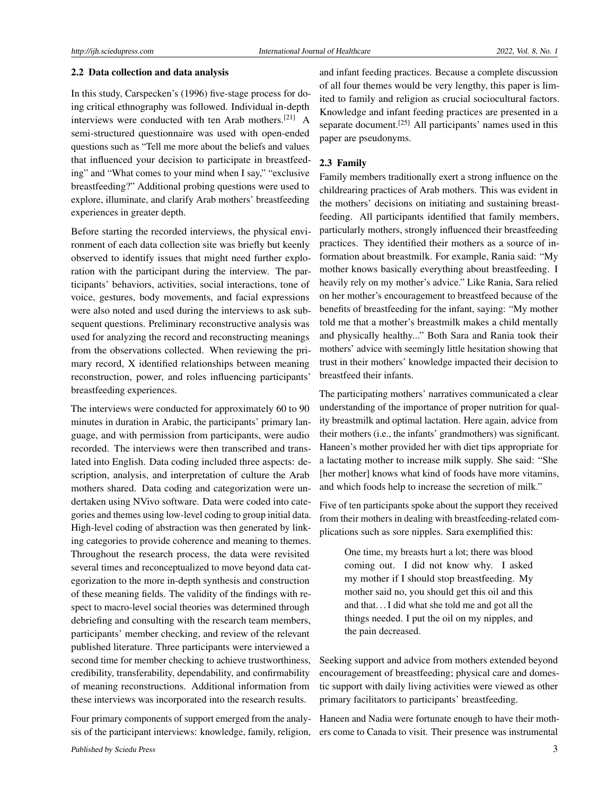#### 2.2 Data collection and data analysis

In this study, Carspecken's (1996) five-stage process for doing critical ethnography was followed. Individual in-depth interviews were conducted with ten Arab mothers.[\[21\]](#page-8-8) A semi-structured questionnaire was used with open-ended questions such as "Tell me more about the beliefs and values that influenced your decision to participate in breastfeeding" and "What comes to your mind when I say," "exclusive breastfeeding?" Additional probing questions were used to explore, illuminate, and clarify Arab mothers' breastfeeding experiences in greater depth.

Before starting the recorded interviews, the physical environment of each data collection site was briefly but keenly observed to identify issues that might need further exploration with the participant during the interview. The participants' behaviors, activities, social interactions, tone of voice, gestures, body movements, and facial expressions were also noted and used during the interviews to ask subsequent questions. Preliminary reconstructive analysis was used for analyzing the record and reconstructing meanings from the observations collected. When reviewing the primary record, X identified relationships between meaning reconstruction, power, and roles influencing participants' breastfeeding experiences.

The interviews were conducted for approximately 60 to 90 minutes in duration in Arabic, the participants' primary language, and with permission from participants, were audio recorded. The interviews were then transcribed and translated into English. Data coding included three aspects: description, analysis, and interpretation of culture the Arab mothers shared. Data coding and categorization were undertaken using NVivo software. Data were coded into categories and themes using low-level coding to group initial data. High-level coding of abstraction was then generated by linking categories to provide coherence and meaning to themes. Throughout the research process, the data were revisited several times and reconceptualized to move beyond data categorization to the more in-depth synthesis and construction of these meaning fields. The validity of the findings with respect to macro-level social theories was determined through debriefing and consulting with the research team members, participants' member checking, and review of the relevant published literature. Three participants were interviewed a second time for member checking to achieve trustworthiness, credibility, transferability, dependability, and confirmability of meaning reconstructions. Additional information from these interviews was incorporated into the research results.

Four primary components of support emerged from the analysis of the participant interviews: knowledge, family, religion,

and infant feeding practices. Because a complete discussion of all four themes would be very lengthy, this paper is limited to family and religion as crucial sociocultural factors. Knowledge and infant feeding practices are presented in a separate document.<sup>[\[25\]](#page-8-12)</sup> All participants' names used in this paper are pseudonyms.

## 2.3 Family

Family members traditionally exert a strong influence on the childrearing practices of Arab mothers. This was evident in the mothers' decisions on initiating and sustaining breastfeeding. All participants identified that family members, particularly mothers, strongly influenced their breastfeeding practices. They identified their mothers as a source of information about breastmilk. For example, Rania said: "My mother knows basically everything about breastfeeding. I heavily rely on my mother's advice." Like Rania, Sara relied on her mother's encouragement to breastfeed because of the benefits of breastfeeding for the infant, saying: "My mother told me that a mother's breastmilk makes a child mentally and physically healthy..." Both Sara and Rania took their mothers' advice with seemingly little hesitation showing that trust in their mothers' knowledge impacted their decision to breastfeed their infants.

The participating mothers' narratives communicated a clear understanding of the importance of proper nutrition for quality breastmilk and optimal lactation. Here again, advice from their mothers (i.e., the infants' grandmothers) was significant. Haneen's mother provided her with diet tips appropriate for a lactating mother to increase milk supply. She said: "She [her mother] knows what kind of foods have more vitamins, and which foods help to increase the secretion of milk."

Five of ten participants spoke about the support they received from their mothers in dealing with breastfeeding-related complications such as sore nipples. Sara exemplified this:

> One time, my breasts hurt a lot; there was blood coming out. I did not know why. I asked my mother if I should stop breastfeeding. My mother said no, you should get this oil and this and that. . . I did what she told me and got all the things needed. I put the oil on my nipples, and the pain decreased.

Seeking support and advice from mothers extended beyond encouragement of breastfeeding; physical care and domestic support with daily living activities were viewed as other primary facilitators to participants' breastfeeding.

Haneen and Nadia were fortunate enough to have their mothers come to Canada to visit. Their presence was instrumental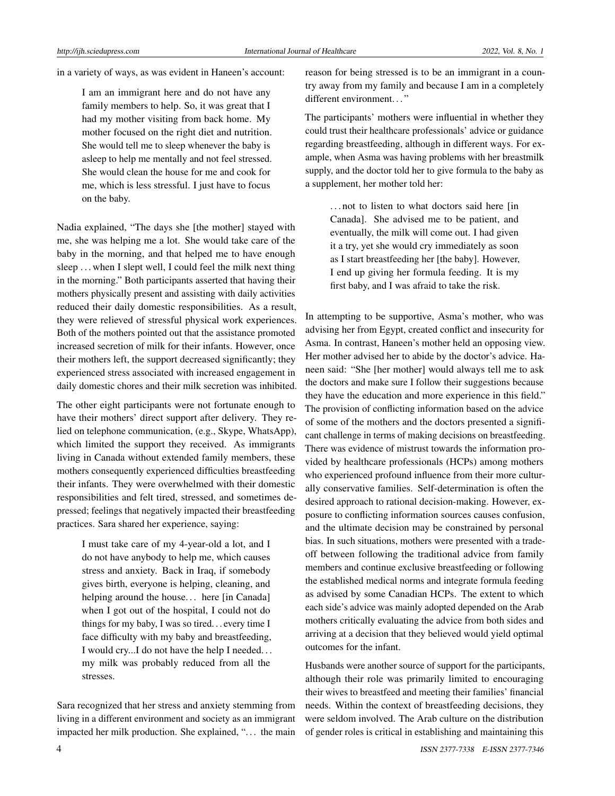in a variety of ways, as was evident in Haneen's account:

I am an immigrant here and do not have any family members to help. So, it was great that I had my mother visiting from back home. My mother focused on the right diet and nutrition. She would tell me to sleep whenever the baby is asleep to help me mentally and not feel stressed. She would clean the house for me and cook for me, which is less stressful. I just have to focus on the baby.

Nadia explained, "The days she [the mother] stayed with me, she was helping me a lot. She would take care of the baby in the morning, and that helped me to have enough sleep ... when I slept well, I could feel the milk next thing in the morning." Both participants asserted that having their mothers physically present and assisting with daily activities reduced their daily domestic responsibilities. As a result, they were relieved of stressful physical work experiences. Both of the mothers pointed out that the assistance promoted increased secretion of milk for their infants. However, once their mothers left, the support decreased significantly; they experienced stress associated with increased engagement in daily domestic chores and their milk secretion was inhibited.

The other eight participants were not fortunate enough to have their mothers' direct support after delivery. They relied on telephone communication, (e.g., Skype, WhatsApp), which limited the support they received. As immigrants living in Canada without extended family members, these mothers consequently experienced difficulties breastfeeding their infants. They were overwhelmed with their domestic responsibilities and felt tired, stressed, and sometimes depressed; feelings that negatively impacted their breastfeeding practices. Sara shared her experience, saying:

> I must take care of my 4-year-old a lot, and I do not have anybody to help me, which causes stress and anxiety. Back in Iraq, if somebody gives birth, everyone is helping, cleaning, and helping around the house... here [in Canada] when I got out of the hospital, I could not do things for my baby, I was so tired. . . every time I face difficulty with my baby and breastfeeding, I would cry...I do not have the help I needed. . . my milk was probably reduced from all the stresses.

Sara recognized that her stress and anxiety stemming from living in a different environment and society as an immigrant impacted her milk production. She explained, "... the main reason for being stressed is to be an immigrant in a country away from my family and because I am in a completely different environment..."

The participants' mothers were influential in whether they could trust their healthcare professionals' advice or guidance regarding breastfeeding, although in different ways. For example, when Asma was having problems with her breastmilk supply, and the doctor told her to give formula to the baby as a supplement, her mother told her:

> . . . not to listen to what doctors said here [in Canada]. She advised me to be patient, and eventually, the milk will come out. I had given it a try, yet she would cry immediately as soon as I start breastfeeding her [the baby]. However, I end up giving her formula feeding. It is my first baby, and I was afraid to take the risk.

In attempting to be supportive, Asma's mother, who was advising her from Egypt, created conflict and insecurity for Asma. In contrast, Haneen's mother held an opposing view. Her mother advised her to abide by the doctor's advice. Haneen said: "She [her mother] would always tell me to ask the doctors and make sure I follow their suggestions because they have the education and more experience in this field." The provision of conflicting information based on the advice of some of the mothers and the doctors presented a significant challenge in terms of making decisions on breastfeeding. There was evidence of mistrust towards the information provided by healthcare professionals (HCPs) among mothers who experienced profound influence from their more culturally conservative families. Self-determination is often the desired approach to rational decision-making. However, exposure to conflicting information sources causes confusion, and the ultimate decision may be constrained by personal bias. In such situations, mothers were presented with a tradeoff between following the traditional advice from family members and continue exclusive breastfeeding or following the established medical norms and integrate formula feeding as advised by some Canadian HCPs. The extent to which each side's advice was mainly adopted depended on the Arab mothers critically evaluating the advice from both sides and arriving at a decision that they believed would yield optimal outcomes for the infant.

Husbands were another source of support for the participants, although their role was primarily limited to encouraging their wives to breastfeed and meeting their families' financial needs. Within the context of breastfeeding decisions, they were seldom involved. The Arab culture on the distribution of gender roles is critical in establishing and maintaining this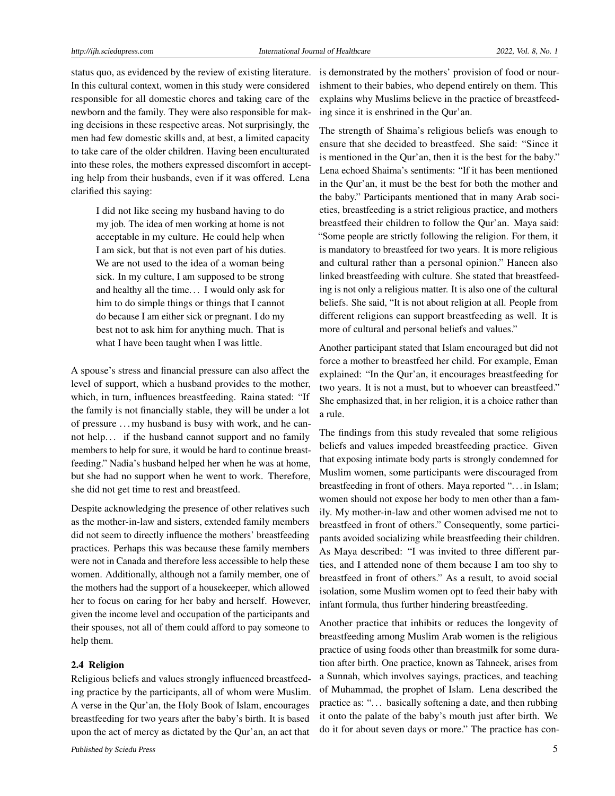status quo, as evidenced by the review of existing literature. In this cultural context, women in this study were considered responsible for all domestic chores and taking care of the newborn and the family. They were also responsible for making decisions in these respective areas. Not surprisingly, the men had few domestic skills and, at best, a limited capacity to take care of the older children. Having been enculturated into these roles, the mothers expressed discomfort in accepting help from their husbands, even if it was offered. Lena clarified this saying:

> I did not like seeing my husband having to do my job. The idea of men working at home is not acceptable in my culture. He could help when I am sick, but that is not even part of his duties. We are not used to the idea of a woman being sick. In my culture, I am supposed to be strong and healthy all the time. . . I would only ask for him to do simple things or things that I cannot do because I am either sick or pregnant. I do my best not to ask him for anything much. That is what I have been taught when I was little.

A spouse's stress and financial pressure can also affect the level of support, which a husband provides to the mother, which, in turn, influences breastfeeding. Raina stated: "If the family is not financially stable, they will be under a lot of pressure . . . my husband is busy with work, and he cannot help. . . if the husband cannot support and no family members to help for sure, it would be hard to continue breastfeeding." Nadia's husband helped her when he was at home, but she had no support when he went to work. Therefore, she did not get time to rest and breastfeed.

Despite acknowledging the presence of other relatives such as the mother-in-law and sisters, extended family members did not seem to directly influence the mothers' breastfeeding practices. Perhaps this was because these family members were not in Canada and therefore less accessible to help these women. Additionally, although not a family member, one of the mothers had the support of a housekeeper, which allowed her to focus on caring for her baby and herself. However, given the income level and occupation of the participants and their spouses, not all of them could afford to pay someone to help them.

#### 2.4 Religion

Religious beliefs and values strongly influenced breastfeeding practice by the participants, all of whom were Muslim. A verse in the Qur'an, the Holy Book of Islam, encourages breastfeeding for two years after the baby's birth. It is based upon the act of mercy as dictated by the Qur'an, an act that

is demonstrated by the mothers' provision of food or nourishment to their babies, who depend entirely on them. This explains why Muslims believe in the practice of breastfeeding since it is enshrined in the Qur'an.

The strength of Shaima's religious beliefs was enough to ensure that she decided to breastfeed. She said: "Since it is mentioned in the Qur'an, then it is the best for the baby." Lena echoed Shaima's sentiments: "If it has been mentioned in the Qur'an, it must be the best for both the mother and the baby." Participants mentioned that in many Arab societies, breastfeeding is a strict religious practice, and mothers breastfeed their children to follow the Qur'an. Maya said: "Some people are strictly following the religion. For them, it is mandatory to breastfeed for two years. It is more religious and cultural rather than a personal opinion." Haneen also linked breastfeeding with culture. She stated that breastfeeding is not only a religious matter. It is also one of the cultural beliefs. She said, "It is not about religion at all. People from different religions can support breastfeeding as well. It is more of cultural and personal beliefs and values."

Another participant stated that Islam encouraged but did not force a mother to breastfeed her child. For example, Eman explained: "In the Qur'an, it encourages breastfeeding for two years. It is not a must, but to whoever can breastfeed." She emphasized that, in her religion, it is a choice rather than a rule.

The findings from this study revealed that some religious beliefs and values impeded breastfeeding practice. Given that exposing intimate body parts is strongly condemned for Muslim women, some participants were discouraged from breastfeeding in front of others. Maya reported ". . . in Islam; women should not expose her body to men other than a family. My mother-in-law and other women advised me not to breastfeed in front of others." Consequently, some participants avoided socializing while breastfeeding their children. As Maya described: "I was invited to three different parties, and I attended none of them because I am too shy to breastfeed in front of others." As a result, to avoid social isolation, some Muslim women opt to feed their baby with infant formula, thus further hindering breastfeeding.

Another practice that inhibits or reduces the longevity of breastfeeding among Muslim Arab women is the religious practice of using foods other than breastmilk for some duration after birth. One practice, known as Tahneek, arises from a Sunnah, which involves sayings, practices, and teaching of Muhammad, the prophet of Islam. Lena described the practice as: ". . . basically softening a date, and then rubbing it onto the palate of the baby's mouth just after birth. We do it for about seven days or more." The practice has con-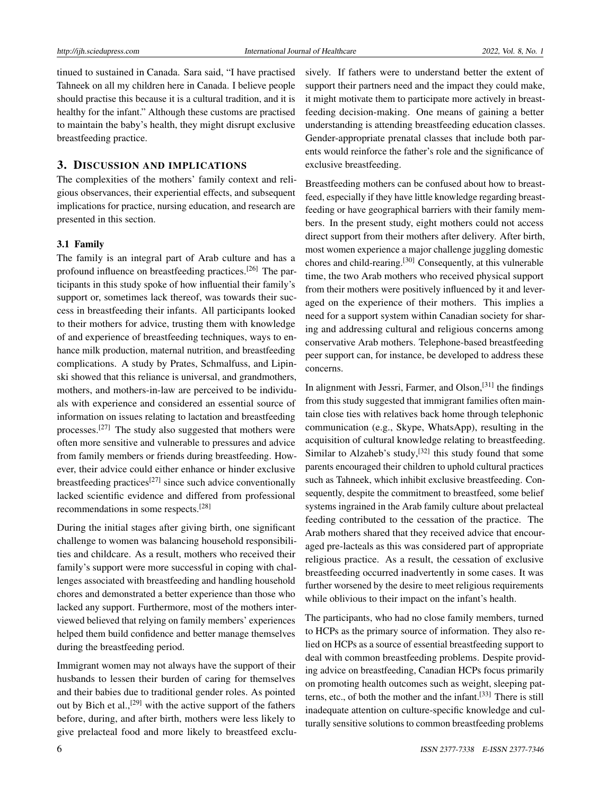tinued to sustained in Canada. Sara said, "I have practised Tahneek on all my children here in Canada. I believe people should practise this because it is a cultural tradition, and it is healthy for the infant." Although these customs are practised to maintain the baby's health, they might disrupt exclusive breastfeeding practice.

### 3. DISCUSSION AND IMPLICATIONS

The complexities of the mothers' family context and religious observances, their experiential effects, and subsequent implications for practice, nursing education, and research are presented in this section.

#### 3.1 Family

The family is an integral part of Arab culture and has a profound influence on breastfeeding practices.<sup>[\[26\]](#page-8-13)</sup> The participants in this study spoke of how influential their family's support or, sometimes lack thereof, was towards their success in breastfeeding their infants. All participants looked to their mothers for advice, trusting them with knowledge of and experience of breastfeeding techniques, ways to enhance milk production, maternal nutrition, and breastfeeding complications. A study by Prates, Schmalfuss, and Lipinski showed that this reliance is universal, and grandmothers, mothers, and mothers-in-law are perceived to be individuals with experience and considered an essential source of information on issues relating to lactation and breastfeeding processes.[\[27\]](#page-8-14) The study also suggested that mothers were often more sensitive and vulnerable to pressures and advice from family members or friends during breastfeeding. However, their advice could either enhance or hinder exclusive breastfeeding practices<sup>[\[27\]](#page-8-14)</sup> since such advice conventionally lacked scientific evidence and differed from professional recommendations in some respects.[\[28\]](#page-8-15)

During the initial stages after giving birth, one significant challenge to women was balancing household responsibilities and childcare. As a result, mothers who received their family's support were more successful in coping with challenges associated with breastfeeding and handling household chores and demonstrated a better experience than those who lacked any support. Furthermore, most of the mothers interviewed believed that relying on family members' experiences helped them build confidence and better manage themselves during the breastfeeding period.

Immigrant women may not always have the support of their husbands to lessen their burden of caring for themselves and their babies due to traditional gender roles. As pointed out by Bich et al.,<sup>[\[29\]](#page-8-16)</sup> with the active support of the fathers before, during, and after birth, mothers were less likely to give prelacteal food and more likely to breastfeed exclusively. If fathers were to understand better the extent of support their partners need and the impact they could make, it might motivate them to participate more actively in breastfeeding decision-making. One means of gaining a better understanding is attending breastfeeding education classes. Gender-appropriate prenatal classes that include both parents would reinforce the father's role and the significance of exclusive breastfeeding.

Breastfeeding mothers can be confused about how to breastfeed, especially if they have little knowledge regarding breastfeeding or have geographical barriers with their family members. In the present study, eight mothers could not access direct support from their mothers after delivery. After birth, most women experience a major challenge juggling domestic chores and child-rearing.[\[30\]](#page-8-17) Consequently, at this vulnerable time, the two Arab mothers who received physical support from their mothers were positively influenced by it and leveraged on the experience of their mothers. This implies a need for a support system within Canadian society for sharing and addressing cultural and religious concerns among conservative Arab mothers. Telephone-based breastfeeding peer support can, for instance, be developed to address these concerns.

In alignment with Jessri, Farmer, and Olson,<sup>[\[31\]](#page-8-18)</sup> the findings from this study suggested that immigrant families often maintain close ties with relatives back home through telephonic communication (e.g., Skype, WhatsApp), resulting in the acquisition of cultural knowledge relating to breastfeeding. Similar to Alzaheb's study, $[32]$  this study found that some parents encouraged their children to uphold cultural practices such as Tahneek, which inhibit exclusive breastfeeding. Consequently, despite the commitment to breastfeed, some belief systems ingrained in the Arab family culture about prelacteal feeding contributed to the cessation of the practice. The Arab mothers shared that they received advice that encouraged pre-lacteals as this was considered part of appropriate religious practice. As a result, the cessation of exclusive breastfeeding occurred inadvertently in some cases. It was further worsened by the desire to meet religious requirements while oblivious to their impact on the infant's health.

The participants, who had no close family members, turned to HCPs as the primary source of information. They also relied on HCPs as a source of essential breastfeeding support to deal with common breastfeeding problems. Despite providing advice on breastfeeding, Canadian HCPs focus primarily on promoting health outcomes such as weight, sleeping patterns, etc., of both the mother and the infant.[\[33\]](#page-8-20) There is still inadequate attention on culture-specific knowledge and culturally sensitive solutions to common breastfeeding problems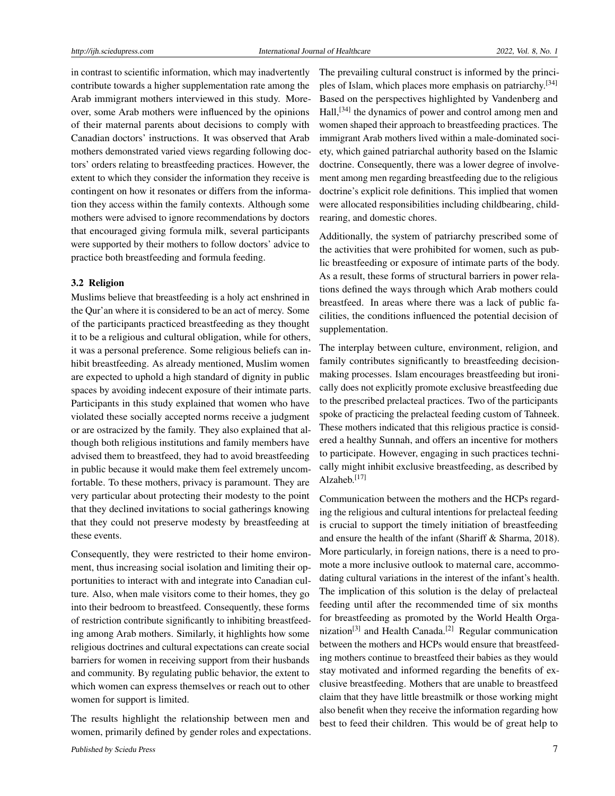in contrast to scientific information, which may inadvertently contribute towards a higher supplementation rate among the Arab immigrant mothers interviewed in this study. Moreover, some Arab mothers were influenced by the opinions of their maternal parents about decisions to comply with Canadian doctors' instructions. It was observed that Arab mothers demonstrated varied views regarding following doctors' orders relating to breastfeeding practices. However, the extent to which they consider the information they receive is contingent on how it resonates or differs from the information they access within the family contexts. Although some mothers were advised to ignore recommendations by doctors that encouraged giving formula milk, several participants were supported by their mothers to follow doctors' advice to practice both breastfeeding and formula feeding.

#### 3.2 Religion

Muslims believe that breastfeeding is a holy act enshrined in the Qur'an where it is considered to be an act of mercy. Some of the participants practiced breastfeeding as they thought it to be a religious and cultural obligation, while for others, it was a personal preference. Some religious beliefs can inhibit breastfeeding. As already mentioned, Muslim women are expected to uphold a high standard of dignity in public spaces by avoiding indecent exposure of their intimate parts. Participants in this study explained that women who have violated these socially accepted norms receive a judgment or are ostracized by the family. They also explained that although both religious institutions and family members have advised them to breastfeed, they had to avoid breastfeeding in public because it would make them feel extremely uncomfortable. To these mothers, privacy is paramount. They are very particular about protecting their modesty to the point that they declined invitations to social gatherings knowing that they could not preserve modesty by breastfeeding at these events.

Consequently, they were restricted to their home environment, thus increasing social isolation and limiting their opportunities to interact with and integrate into Canadian culture. Also, when male visitors come to their homes, they go into their bedroom to breastfeed. Consequently, these forms of restriction contribute significantly to inhibiting breastfeeding among Arab mothers. Similarly, it highlights how some religious doctrines and cultural expectations can create social barriers for women in receiving support from their husbands and community. By regulating public behavior, the extent to which women can express themselves or reach out to other women for support is limited.

The results highlight the relationship between men and women, primarily defined by gender roles and expectations. The prevailing cultural construct is informed by the principles of Islam, which places more emphasis on patriarchy.[\[34\]](#page-8-21) Based on the perspectives highlighted by Vandenberg and Hall,<sup>[\[34\]](#page-8-21)</sup> the dynamics of power and control among men and women shaped their approach to breastfeeding practices. The immigrant Arab mothers lived within a male-dominated society, which gained patriarchal authority based on the Islamic doctrine. Consequently, there was a lower degree of involvement among men regarding breastfeeding due to the religious doctrine's explicit role definitions. This implied that women were allocated responsibilities including childbearing, childrearing, and domestic chores.

Additionally, the system of patriarchy prescribed some of the activities that were prohibited for women, such as public breastfeeding or exposure of intimate parts of the body. As a result, these forms of structural barriers in power relations defined the ways through which Arab mothers could breastfeed. In areas where there was a lack of public facilities, the conditions influenced the potential decision of supplementation.

The interplay between culture, environment, religion, and family contributes significantly to breastfeeding decisionmaking processes. Islam encourages breastfeeding but ironically does not explicitly promote exclusive breastfeeding due to the prescribed prelacteal practices. Two of the participants spoke of practicing the prelacteal feeding custom of Tahneek. These mothers indicated that this religious practice is considered a healthy Sunnah, and offers an incentive for mothers to participate. However, engaging in such practices technically might inhibit exclusive breastfeeding, as described by Alzaheb.[\[17\]](#page-8-4)

Communication between the mothers and the HCPs regarding the religious and cultural intentions for prelacteal feeding is crucial to support the timely initiation of breastfeeding and ensure the health of the infant (Shariff & Sharma, 2018). More particularly, in foreign nations, there is a need to promote a more inclusive outlook to maternal care, accommodating cultural variations in the interest of the infant's health. The implication of this solution is the delay of prelacteal feeding until after the recommended time of six months for breastfeeding as promoted by the World Health Orga-nization<sup>[\[3\]](#page-7-2)</sup> and Health Canada.<sup>[\[2\]](#page-7-1)</sup> Regular communication between the mothers and HCPs would ensure that breastfeeding mothers continue to breastfeed their babies as they would stay motivated and informed regarding the benefits of exclusive breastfeeding. Mothers that are unable to breastfeed claim that they have little breastmilk or those working might also benefit when they receive the information regarding how best to feed their children. This would be of great help to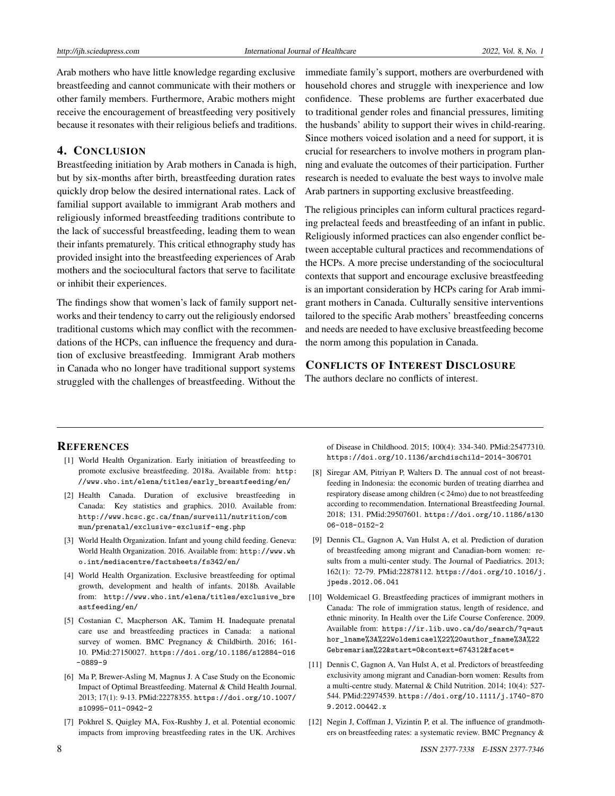Arab mothers who have little knowledge regarding exclusive breastfeeding and cannot communicate with their mothers or other family members. Furthermore, Arabic mothers might receive the encouragement of breastfeeding very positively because it resonates with their religious beliefs and traditions.

#### 4. CONCLUSION

Breastfeeding initiation by Arab mothers in Canada is high, but by six-months after birth, breastfeeding duration rates quickly drop below the desired international rates. Lack of familial support available to immigrant Arab mothers and religiously informed breastfeeding traditions contribute to the lack of successful breastfeeding, leading them to wean their infants prematurely. This critical ethnography study has provided insight into the breastfeeding experiences of Arab mothers and the sociocultural factors that serve to facilitate or inhibit their experiences.

The findings show that women's lack of family support networks and their tendency to carry out the religiously endorsed traditional customs which may conflict with the recommendations of the HCPs, can influence the frequency and duration of exclusive breastfeeding. Immigrant Arab mothers in Canada who no longer have traditional support systems struggled with the challenges of breastfeeding. Without the immediate family's support, mothers are overburdened with household chores and struggle with inexperience and low confidence. These problems are further exacerbated due to traditional gender roles and financial pressures, limiting the husbands' ability to support their wives in child-rearing. Since mothers voiced isolation and a need for support, it is crucial for researchers to involve mothers in program planning and evaluate the outcomes of their participation. Further research is needed to evaluate the best ways to involve male Arab partners in supporting exclusive breastfeeding.

The religious principles can inform cultural practices regarding prelacteal feeds and breastfeeding of an infant in public. Religiously informed practices can also engender conflict between acceptable cultural practices and recommendations of the HCPs. A more precise understanding of the sociocultural contexts that support and encourage exclusive breastfeeding is an important consideration by HCPs caring for Arab immigrant mothers in Canada. Culturally sensitive interventions tailored to the specific Arab mothers' breastfeeding concerns and needs are needed to have exclusive breastfeeding become the norm among this population in Canada.

## CONFLICTS OF INTEREST DISCLOSURE

The authors declare no conflicts of interest.

#### **REFERENCES**

- <span id="page-7-0"></span>[1] World Health Organization. Early initiation of breastfeeding to promote exclusive breastfeeding. 2018a. Available from: [http:](http://www.who.int/elena/titles/early_breastfeeding/en/) [//www.who.int/elena/titles/early\\_breastfeeding/en/](http://www.who.int/elena/titles/early_breastfeeding/en/)
- <span id="page-7-1"></span>[2] Health Canada. Duration of exclusive breastfeeding in Canada: Key statistics and graphics. 2010. Available from: [http://www.hcsc.gc.ca/fnan/surveill/nutrition/com](http://www.hcsc.gc.ca/fnan/surveill/nutrition/commun/prenatal/exclusive-exclusif-eng.php) [mun/prenatal/exclusive-exclusif-eng.php](http://www.hcsc.gc.ca/fnan/surveill/nutrition/commun/prenatal/exclusive-exclusif-eng.php)
- <span id="page-7-2"></span>[3] World Health Organization. Infant and young child feeding. Geneva: World Health Organization. 2016. Available from: [http://www.wh](http://www.who.int/mediacentre/factsheets/fs342/en/) [o.int/mediacentre/factsheets/fs342/en/](http://www.who.int/mediacentre/factsheets/fs342/en/)
- <span id="page-7-3"></span>[4] World Health Organization. Exclusive breastfeeding for optimal growth, development and health of infants. 2018b. Available from: [http://www.who.int/elena/titles/exclusive\\_bre](http://www.who.int/elena/titles/exclusive_breastfeeding/en/) [astfeeding/en/](http://www.who.int/elena/titles/exclusive_breastfeeding/en/)
- <span id="page-7-4"></span>[5] Costanian C, Macpherson AK, Tamim H. Inadequate prenatal care use and breastfeeding practices in Canada: a national survey of women. BMC Pregnancy & Childbirth. 2016; 161- 10. PMid:27150027. [https://doi.org/10.1186/s12884-016](https://doi.org/10.1186/s12884-016-0889-9) [-0889-9](https://doi.org/10.1186/s12884-016-0889-9)
- <span id="page-7-5"></span>[6] Ma P, Brewer-Asling M, Magnus J. A Case Study on the Economic Impact of Optimal Breastfeeding. Maternal & Child Health Journal. 2013; 17(1): 9-13. PMid:22278355. [https://doi.org/10.1007/](https://doi.org/10.1007/s10995-011-0942-2) [s10995-011-0942-2](https://doi.org/10.1007/s10995-011-0942-2)
- [7] Pokhrel S, Quigley MA, Fox-Rushby J, et al. Potential economic impacts from improving breastfeeding rates in the UK. Archives

of Disease in Childhood. 2015; 100(4): 334-340. PMid:25477310. <https://doi.org/10.1136/archdischild-2014-306701>

- <span id="page-7-6"></span>[8] Siregar AM, Pitriyan P, Walters D. The annual cost of not breastfeeding in Indonesia: the economic burden of treating diarrhea and respiratory disease among children (< 24mo) due to not breastfeeding according to recommendation. International Breastfeeding Journal. 2018; 131. PMid:29507601. [https://doi.org/10.1186/s130](https://doi.org/10.1186/s13006-018-0152-2) [06-018-0152-2](https://doi.org/10.1186/s13006-018-0152-2)
- <span id="page-7-7"></span>[9] Dennis CL, Gagnon A, Van Hulst A, et al. Prediction of duration of breastfeeding among migrant and Canadian-born women: results from a multi-center study. The Journal of Paediatrics. 2013; 162(1): 72-79. PMid:22878112. [https://doi.org/10.1016/j.](https://doi.org/10.1016/j.jpeds.2012.06.041) [jpeds.2012.06.041](https://doi.org/10.1016/j.jpeds.2012.06.041)
- <span id="page-7-8"></span>[10] Woldemicael G. Breastfeeding practices of immigrant mothers in Canada: The role of immigration status, length of residence, and ethnic minority. In Health over the Life Course Conference. 2009. Available from: [https://ir.lib.uwo.ca/do/search/?q=aut](https://ir.lib.uwo.ca/do/search/?q=author_lname%3A%22Woldemicael%22%20author_fname%3A%22Gebremariam%22&start=0&context=674312&facet=) [hor\\_lname%3A%22Woldemicael%22%20author\\_fname%3A%22](https://ir.lib.uwo.ca/do/search/?q=author_lname%3A%22Woldemicael%22%20author_fname%3A%22Gebremariam%22&start=0&context=674312&facet=) [Gebremariam%22&start=0&context=674312&facet=](https://ir.lib.uwo.ca/do/search/?q=author_lname%3A%22Woldemicael%22%20author_fname%3A%22Gebremariam%22&start=0&context=674312&facet=)
- <span id="page-7-9"></span>[11] Dennis C, Gagnon A, Van Hulst A, et al. Predictors of breastfeeding exclusivity among migrant and Canadian-born women: Results from a multi-centre study. Maternal & Child Nutrition. 2014; 10(4): 527- 544. PMid:22974539. [https://doi.org/10.1111/j.1740-870](https://doi.org/10.1111/j.1740-8709.2012.00442.x) [9.2012.00442.x](https://doi.org/10.1111/j.1740-8709.2012.00442.x)
- <span id="page-7-10"></span>[12] Negin J, Coffman J, Vizintin P, et al. The influence of grandmothers on breastfeeding rates: a systematic review. BMC Pregnancy &